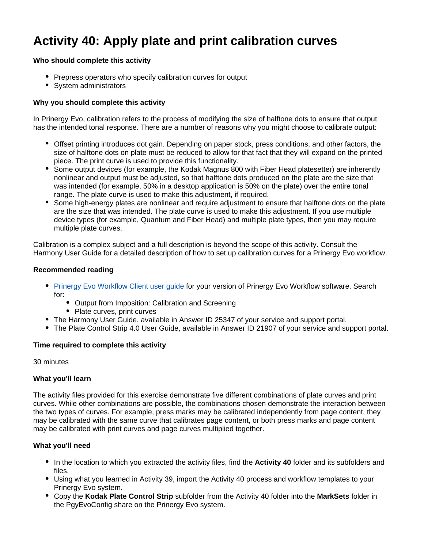# **Activity 40: Apply plate and print calibration curves**

#### **Who should complete this activity**

- Prepress operators who specify calibration curves for output
- System administrators

### **Why you should complete this activity**

In Prinergy Evo, calibration refers to the process of modifying the size of halftone dots to ensure that output has the intended tonal response. There are a number of reasons why you might choose to calibrate output:

- Offset printing introduces dot gain. Depending on paper stock, press conditions, and other factors, the size of halftone dots on plate must be reduced to allow for that fact that they will expand on the printed piece. The print curve is used to provide this functionality.
- Some output devices (for example, the Kodak Magnus 800 with Fiber Head platesetter) are inherently nonlinear and output must be adjusted, so that halftone dots produced on the plate are the size that was intended (for example, 50% in a desktop application is 50% on the plate) over the entire tonal range. The plate curve is used to make this adjustment, if required.
- Some high-energy plates are nonlinear and require adjustment to ensure that halftone dots on the plate are the size that was intended. The plate curve is used to make this adjustment. If you use multiple device types (for example, Quantum and Fiber Head) and multiple plate types, then you may require multiple plate curves.

Calibration is a complex subject and a full description is beyond the scope of this activity. Consult the Harmony User Guide for a detailed description of how to set up calibration curves for a Prinergy Evo workflow.

#### **Recommended reading**

- [Prinergy Evo Workflow Client user guide](https://workflowhelp.kodak.com/) for your version of Prinergy Evo Workflow software. Search for:
	- Output from Imposition: Calibration and Screening
	- Plate curves, print curves
- The Harmony User Guide, available in Answer ID 25347 of your service and support portal.
- The Plate Control Strip 4.0 User Guide, available in Answer ID 21907 of your service and support portal.

#### **Time required to complete this activity**

30 minutes

#### **What you'll learn**

The activity files provided for this exercise demonstrate five different combinations of plate curves and print curves. While other combinations are possible, the combinations chosen demonstrate the interaction between the two types of curves. For example, press marks may be calibrated independently from page content, they may be calibrated with the same curve that calibrates page content, or both press marks and page content may be calibrated with print curves and page curves multiplied together.

#### **What you'll need**

- In the location to which you extracted the activity files, find the **Activity 40** folder and its subfolders and files.
- Using what you learned in Activity 39, import the Activity 40 process and workflow templates to your Prinergy Evo system.
- Copy the **Kodak Plate Control Strip** subfolder from the Activity 40 folder into the **MarkSets** folder in the PgyEvoConfig share on the Prinergy Evo system.